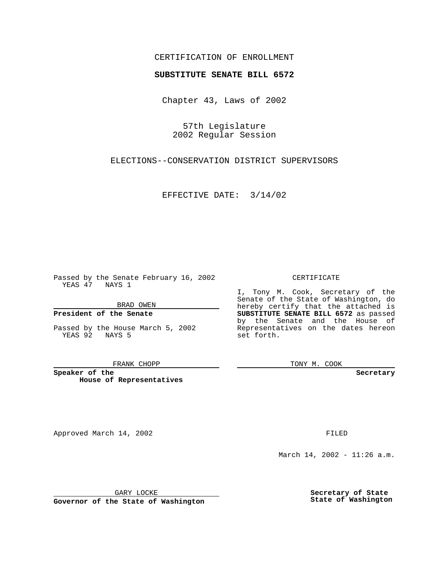## CERTIFICATION OF ENROLLMENT

# **SUBSTITUTE SENATE BILL 6572**

Chapter 43, Laws of 2002

57th Legislature 2002 Regular Session

ELECTIONS--CONSERVATION DISTRICT SUPERVISORS

EFFECTIVE DATE: 3/14/02

Passed by the Senate February 16, 2002 YEAS  $\overline{47}$  NAYS 1

BRAD OWEN

### **President of the Senate**

Passed by the House March 5, 2002 YEAS 92 NAYS 5

#### FRANK CHOPP

**Speaker of the House of Representatives**

Approved March 14, 2002 **FILED** 

#### CERTIFICATE

I, Tony M. Cook, Secretary of the Senate of the State of Washington, do hereby certify that the attached is **SUBSTITUTE SENATE BILL 6572** as passed by the Senate and the House of Representatives on the dates hereon set forth.

TONY M. COOK

**Secretary**

March 14, 2002 - 11:26 a.m.

GARY LOCKE

**Governor of the State of Washington**

**Secretary of State State of Washington**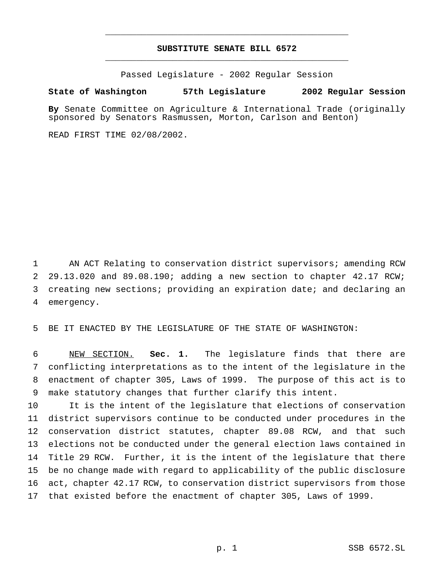## **SUBSTITUTE SENATE BILL 6572** \_\_\_\_\_\_\_\_\_\_\_\_\_\_\_\_\_\_\_\_\_\_\_\_\_\_\_\_\_\_\_\_\_\_\_\_\_\_\_\_\_\_\_\_\_\_\_

\_\_\_\_\_\_\_\_\_\_\_\_\_\_\_\_\_\_\_\_\_\_\_\_\_\_\_\_\_\_\_\_\_\_\_\_\_\_\_\_\_\_\_\_\_\_\_

Passed Legislature - 2002 Regular Session

### **State of Washington 57th Legislature 2002 Regular Session**

**By** Senate Committee on Agriculture & International Trade (originally sponsored by Senators Rasmussen, Morton, Carlson and Benton)

READ FIRST TIME 02/08/2002.

 AN ACT Relating to conservation district supervisors; amending RCW 29.13.020 and 89.08.190; adding a new section to chapter 42.17 RCW; creating new sections; providing an expiration date; and declaring an emergency.

BE IT ENACTED BY THE LEGISLATURE OF THE STATE OF WASHINGTON:

 NEW SECTION. **Sec. 1.** The legislature finds that there are conflicting interpretations as to the intent of the legislature in the enactment of chapter 305, Laws of 1999. The purpose of this act is to make statutory changes that further clarify this intent.

 It is the intent of the legislature that elections of conservation district supervisors continue to be conducted under procedures in the conservation district statutes, chapter 89.08 RCW, and that such elections not be conducted under the general election laws contained in Title 29 RCW. Further, it is the intent of the legislature that there be no change made with regard to applicability of the public disclosure act, chapter 42.17 RCW, to conservation district supervisors from those that existed before the enactment of chapter 305, Laws of 1999.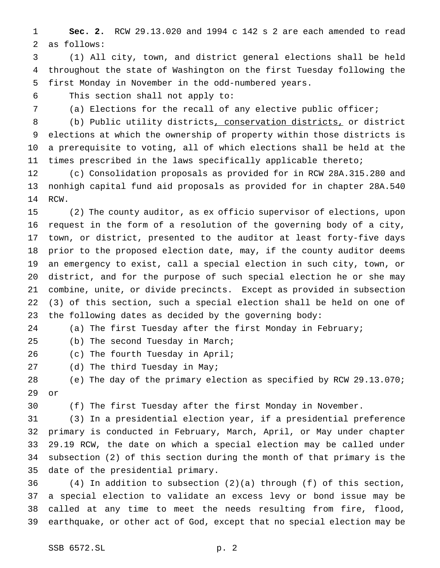**Sec. 2.** RCW 29.13.020 and 1994 c 142 s 2 are each amended to read as follows:

 (1) All city, town, and district general elections shall be held throughout the state of Washington on the first Tuesday following the first Monday in November in the odd-numbered years.

This section shall not apply to:

(a) Elections for the recall of any elective public officer;

 (b) Public utility districts, conservation districts, or district elections at which the ownership of property within those districts is a prerequisite to voting, all of which elections shall be held at the times prescribed in the laws specifically applicable thereto;

 (c) Consolidation proposals as provided for in RCW 28A.315.280 and nonhigh capital fund aid proposals as provided for in chapter 28A.540 RCW.

 (2) The county auditor, as ex officio supervisor of elections, upon request in the form of a resolution of the governing body of a city, town, or district, presented to the auditor at least forty-five days prior to the proposed election date, may, if the county auditor deems an emergency to exist, call a special election in such city, town, or district, and for the purpose of such special election he or she may combine, unite, or divide precincts. Except as provided in subsection (3) of this section, such a special election shall be held on one of the following dates as decided by the governing body:

(a) The first Tuesday after the first Monday in February;

(b) The second Tuesday in March;

(c) The fourth Tuesday in April;

27 (d) The third Tuesday in May;

 (e) The day of the primary election as specified by RCW 29.13.070; or

(f) The first Tuesday after the first Monday in November.

 (3) In a presidential election year, if a presidential preference primary is conducted in February, March, April, or May under chapter 29.19 RCW, the date on which a special election may be called under subsection (2) of this section during the month of that primary is the date of the presidential primary.

 (4) In addition to subsection (2)(a) through (f) of this section, a special election to validate an excess levy or bond issue may be called at any time to meet the needs resulting from fire, flood, earthquake, or other act of God, except that no special election may be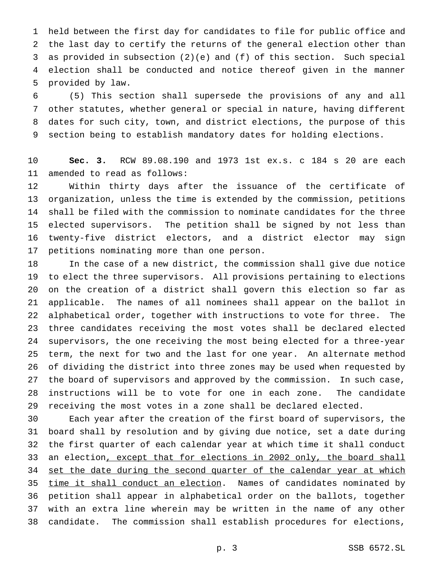held between the first day for candidates to file for public office and the last day to certify the returns of the general election other than as provided in subsection (2)(e) and (f) of this section. Such special election shall be conducted and notice thereof given in the manner provided by law.

 (5) This section shall supersede the provisions of any and all other statutes, whether general or special in nature, having different dates for such city, town, and district elections, the purpose of this section being to establish mandatory dates for holding elections.

 **Sec. 3.** RCW 89.08.190 and 1973 1st ex.s. c 184 s 20 are each amended to read as follows:

 Within thirty days after the issuance of the certificate of organization, unless the time is extended by the commission, petitions shall be filed with the commission to nominate candidates for the three elected supervisors. The petition shall be signed by not less than twenty-five district electors, and a district elector may sign petitions nominating more than one person.

 In the case of a new district, the commission shall give due notice to elect the three supervisors. All provisions pertaining to elections on the creation of a district shall govern this election so far as applicable. The names of all nominees shall appear on the ballot in alphabetical order, together with instructions to vote for three. The three candidates receiving the most votes shall be declared elected supervisors, the one receiving the most being elected for a three-year term, the next for two and the last for one year. An alternate method of dividing the district into three zones may be used when requested by the board of supervisors and approved by the commission. In such case, instructions will be to vote for one in each zone. The candidate receiving the most votes in a zone shall be declared elected.

 Each year after the creation of the first board of supervisors, the board shall by resolution and by giving due notice, set a date during the first quarter of each calendar year at which time it shall conduct 33 an election, except that for elections in 2002 only, the board shall 34 set the date during the second quarter of the calendar year at which 35 time it shall conduct an election. Names of candidates nominated by petition shall appear in alphabetical order on the ballots, together with an extra line wherein may be written in the name of any other candidate. The commission shall establish procedures for elections,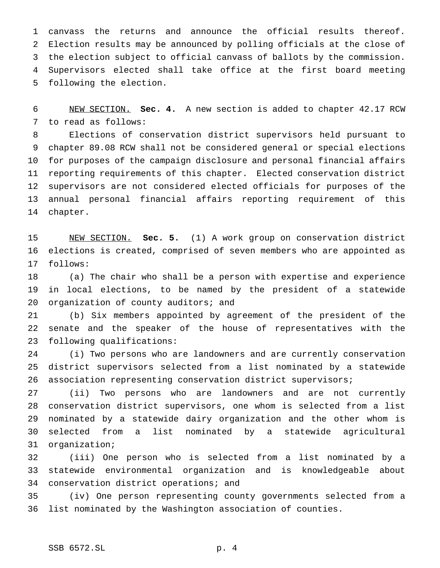canvass the returns and announce the official results thereof. Election results may be announced by polling officials at the close of the election subject to official canvass of ballots by the commission. Supervisors elected shall take office at the first board meeting following the election.

 NEW SECTION. **Sec. 4.** A new section is added to chapter 42.17 RCW to read as follows:

 Elections of conservation district supervisors held pursuant to chapter 89.08 RCW shall not be considered general or special elections for purposes of the campaign disclosure and personal financial affairs reporting requirements of this chapter. Elected conservation district supervisors are not considered elected officials for purposes of the annual personal financial affairs reporting requirement of this chapter.

 NEW SECTION. **Sec. 5.** (1) A work group on conservation district elections is created, comprised of seven members who are appointed as follows:

 (a) The chair who shall be a person with expertise and experience in local elections, to be named by the president of a statewide 20 organization of county auditors; and

 (b) Six members appointed by agreement of the president of the senate and the speaker of the house of representatives with the following qualifications:

 (i) Two persons who are landowners and are currently conservation district supervisors selected from a list nominated by a statewide association representing conservation district supervisors;

 (ii) Two persons who are landowners and are not currently conservation district supervisors, one whom is selected from a list nominated by a statewide dairy organization and the other whom is selected from a list nominated by a statewide agricultural organization;

 (iii) One person who is selected from a list nominated by a statewide environmental organization and is knowledgeable about conservation district operations; and

 (iv) One person representing county governments selected from a list nominated by the Washington association of counties.